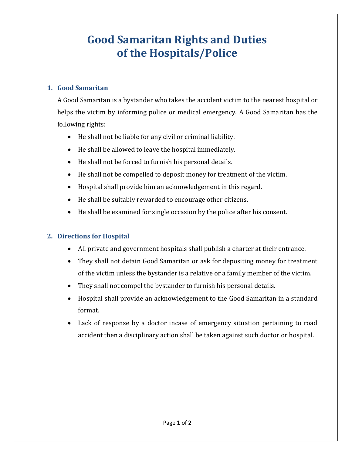# **Good Samaritan Rights and Duties of the Hospitals/Police**

### **1. Good Samaritan**

A Good Samaritan is a bystander who takes the accident victim to the nearest hospital or helps the victim by informing police or medical emergency. A Good Samaritan has the following rights:

- He shall not be liable for any civil or criminal liability.
- He shall be allowed to leave the hospital immediately.
- He shall not be forced to furnish his personal details.
- He shall not be compelled to deposit money for treatment of the victim.
- Hospital shall provide him an acknowledgement in this regard.
- He shall be suitably rewarded to encourage other citizens.
- He shall be examined for single occasion by the police after his consent.

## **2. Directions for Hospital**

- All private and government hospitals shall publish a charter at their entrance.
- They shall not detain Good Samaritan or ask for depositing money for treatment of the victim unless the bystander is a relative or a family member of the victim.
- They shall not compel the bystander to furnish his personal details.
- Hospital shall provide an acknowledgement to the Good Samaritan in a standard format.
- Lack of response by a doctor incase of emergency situation pertaining to road accident then a disciplinary action shall be taken against such doctor or hospital.